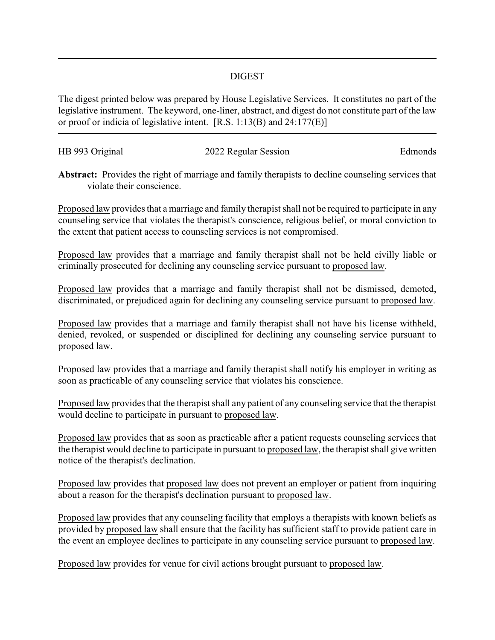## DIGEST

The digest printed below was prepared by House Legislative Services. It constitutes no part of the legislative instrument. The keyword, one-liner, abstract, and digest do not constitute part of the law or proof or indicia of legislative intent. [R.S. 1:13(B) and 24:177(E)]

| HB 993 Original | 2022 Regular Session | Edmonds |
|-----------------|----------------------|---------|
|                 |                      |         |

**Abstract:** Provides the right of marriage and family therapists to decline counseling services that violate their conscience.

Proposed law provides that a marriage and family therapist shall not be required to participate in any counseling service that violates the therapist's conscience, religious belief, or moral conviction to the extent that patient access to counseling services is not compromised.

Proposed law provides that a marriage and family therapist shall not be held civilly liable or criminally prosecuted for declining any counseling service pursuant to proposed law.

Proposed law provides that a marriage and family therapist shall not be dismissed, demoted, discriminated, or prejudiced again for declining any counseling service pursuant to proposed law.

Proposed law provides that a marriage and family therapist shall not have his license withheld, denied, revoked, or suspended or disciplined for declining any counseling service pursuant to proposed law.

Proposed law provides that a marriage and family therapist shall notify his employer in writing as soon as practicable of any counseling service that violates his conscience.

Proposed law provides that the therapist shall any patient of any counseling service that the therapist would decline to participate in pursuant to proposed law.

Proposed law provides that as soon as practicable after a patient requests counseling services that the therapist would decline to participate in pursuant to proposed law, the therapist shall give written notice of the therapist's declination.

Proposed law provides that proposed law does not prevent an employer or patient from inquiring about a reason for the therapist's declination pursuant to proposed law.

Proposed law provides that any counseling facility that employs a therapists with known beliefs as provided by proposed law shall ensure that the facility has sufficient staff to provide patient care in the event an employee declines to participate in any counseling service pursuant to proposed law.

Proposed law provides for venue for civil actions brought pursuant to proposed law.